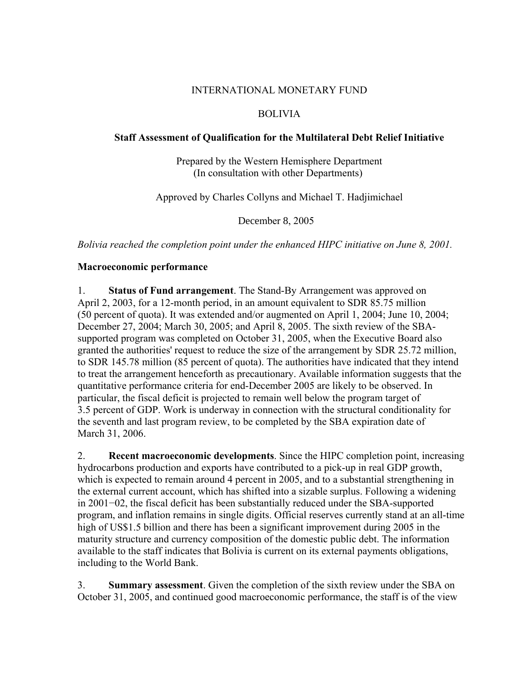#### INTERNATIONAL MONETARY FUND

# BOLIVIA

## **Staff Assessment of Qualification for the Multilateral Debt Relief Initiative**

Prepared by the Western Hemisphere Department (In consultation with other Departments)

Approved by Charles Collyns and Michael T. Hadjimichael

December 8, 2005

*Bolivia reached the completion point under the enhanced HIPC initiative on June 8, 2001.*

## **Macroeconomic performance**

1. **Status of Fund arrangement**. The Stand-By Arrangement was approved on April 2, 2003, for a 12-month period, in an amount equivalent to SDR 85.75 million (50 percent of quota). It was extended and/or augmented on April 1, 2004; June 10, 2004; December 27, 2004; March 30, 2005; and April 8, 2005. The sixth review of the SBAsupported program was completed on October 31, 2005, when the Executive Board also granted the authorities' request to reduce the size of the arrangement by SDR 25.72 million, to SDR 145.78 million (85 percent of quota). The authorities have indicated that they intend to treat the arrangement henceforth as precautionary. Available information suggests that the quantitative performance criteria for end-December 2005 are likely to be observed. In particular, the fiscal deficit is projected to remain well below the program target of 3.5 percent of GDP. Work is underway in connection with the structural conditionality for the seventh and last program review, to be completed by the SBA expiration date of March 31, 2006.

2. **Recent macroeconomic developments**. Since the HIPC completion point, increasing hydrocarbons production and exports have contributed to a pick-up in real GDP growth, which is expected to remain around 4 percent in 2005, and to a substantial strengthening in the external current account, which has shifted into a sizable surplus. Following a widening in 2001−02, the fiscal deficit has been substantially reduced under the SBA-supported program, and inflation remains in single digits. Official reserves currently stand at an all-time high of US\$1.5 billion and there has been a significant improvement during 2005 in the maturity structure and currency composition of the domestic public debt. The information available to the staff indicates that Bolivia is current on its external payments obligations, including to the World Bank.

3. **Summary assessment**. Given the completion of the sixth review under the SBA on October 31, 2005, and continued good macroeconomic performance, the staff is of the view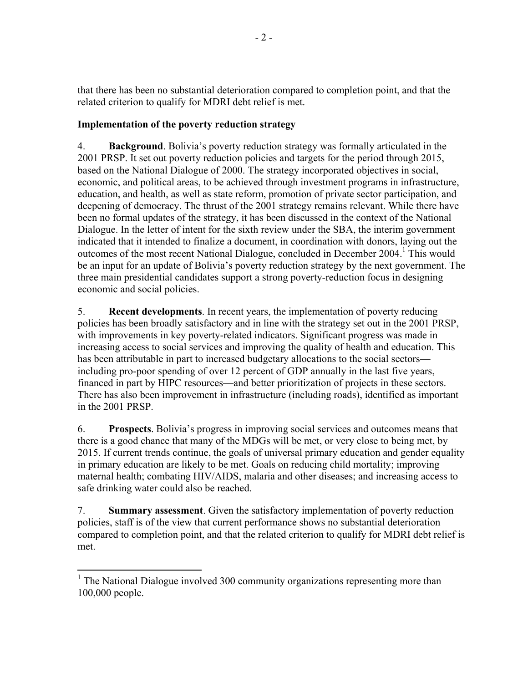that there has been no substantial deterioration compared to completion point, and that the related criterion to qualify for MDRI debt relief is met.

# **Implementation of the poverty reduction strategy**

4. **Background**. Bolivia's poverty reduction strategy was formally articulated in the 2001 PRSP. It set out poverty reduction policies and targets for the period through 2015, based on the National Dialogue of 2000. The strategy incorporated objectives in social, economic, and political areas, to be achieved through investment programs in infrastructure, education, and health, as well as state reform, promotion of private sector participation, and deepening of democracy. The thrust of the 2001 strategy remains relevant. While there have been no formal updates of the strategy, it has been discussed in the context of the National Dialogue. In the letter of intent for the sixth review under the SBA, the interim government indicated that it intended to finalize a document, in coordination with donors, laying out the outcomes of the most recent National Dialogue, concluded in December 2004.<sup>1</sup> This would be an input for an update of Bolivia's poverty reduction strategy by the next government. The three main presidential candidates support a strong poverty-reduction focus in designing economic and social policies.

5. **Recent developments**. In recent years, the implementation of poverty reducing policies has been broadly satisfactory and in line with the strategy set out in the 2001 PRSP, with improvements in key poverty-related indicators. Significant progress was made in increasing access to social services and improving the quality of health and education. This has been attributable in part to increased budgetary allocations to the social sectors including pro-poor spending of over 12 percent of GDP annually in the last five years, financed in part by HIPC resources—and better prioritization of projects in these sectors. There has also been improvement in infrastructure (including roads), identified as important in the 2001 PRSP.

6. **Prospects**. Bolivia's progress in improving social services and outcomes means that there is a good chance that many of the MDGs will be met, or very close to being met, by 2015. If current trends continue, the goals of universal primary education and gender equality in primary education are likely to be met. Goals on reducing child mortality; improving maternal health; combating HIV/AIDS, malaria and other diseases; and increasing access to safe drinking water could also be reached.

7. **Summary assessment**. Given the satisfactory implementation of poverty reduction policies, staff is of the view that current performance shows no substantial deterioration compared to completion point, and that the related criterion to qualify for MDRI debt relief is met.

 $\overline{a}$ 

<sup>&</sup>lt;sup>1</sup> The National Dialogue involved 300 community organizations representing more than 100,000 people.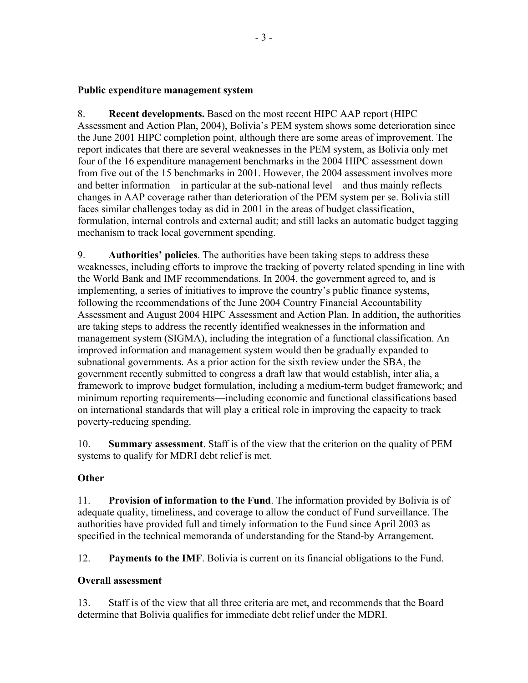## **Public expenditure management system**

8. **Recent developments.** Based on the most recent HIPC AAP report (HIPC Assessment and Action Plan, 2004), Bolivia's PEM system shows some deterioration since the June 2001 HIPC completion point, although there are some areas of improvement. The report indicates that there are several weaknesses in the PEM system, as Bolivia only met four of the 16 expenditure management benchmarks in the 2004 HIPC assessment down from five out of the 15 benchmarks in 2001. However, the 2004 assessment involves more and better information—in particular at the sub-national level—and thus mainly reflects changes in AAP coverage rather than deterioration of the PEM system per se. Bolivia still faces similar challenges today as did in 2001 in the areas of budget classification, formulation, internal controls and external audit; and still lacks an automatic budget tagging mechanism to track local government spending.

9. **Authorities' policies**. The authorities have been taking steps to address these weaknesses, including efforts to improve the tracking of poverty related spending in line with the World Bank and IMF recommendations. In 2004, the government agreed to, and is implementing, a series of initiatives to improve the country's public finance systems, following the recommendations of the June 2004 Country Financial Accountability Assessment and August 2004 HIPC Assessment and Action Plan. In addition, the authorities are taking steps to address the recently identified weaknesses in the information and management system (SIGMA), including the integration of a functional classification. An improved information and management system would then be gradually expanded to subnational governments. As a prior action for the sixth review under the SBA, the government recently submitted to congress a draft law that would establish, inter alia, a framework to improve budget formulation, including a medium-term budget framework; and minimum reporting requirements—including economic and functional classifications based on international standards that will play a critical role in improving the capacity to track poverty-reducing spending.

10. **Summary assessment**. Staff is of the view that the criterion on the quality of PEM systems to qualify for MDRI debt relief is met.

## **Other**

11. **Provision of information to the Fund**. The information provided by Bolivia is of adequate quality, timeliness, and coverage to allow the conduct of Fund surveillance. The authorities have provided full and timely information to the Fund since April 2003 as specified in the technical memoranda of understanding for the Stand-by Arrangement.

12. **Payments to the IMF**. Bolivia is current on its financial obligations to the Fund.

# **Overall assessment**

13. Staff is of the view that all three criteria are met, and recommends that the Board determine that Bolivia qualifies for immediate debt relief under the MDRI.